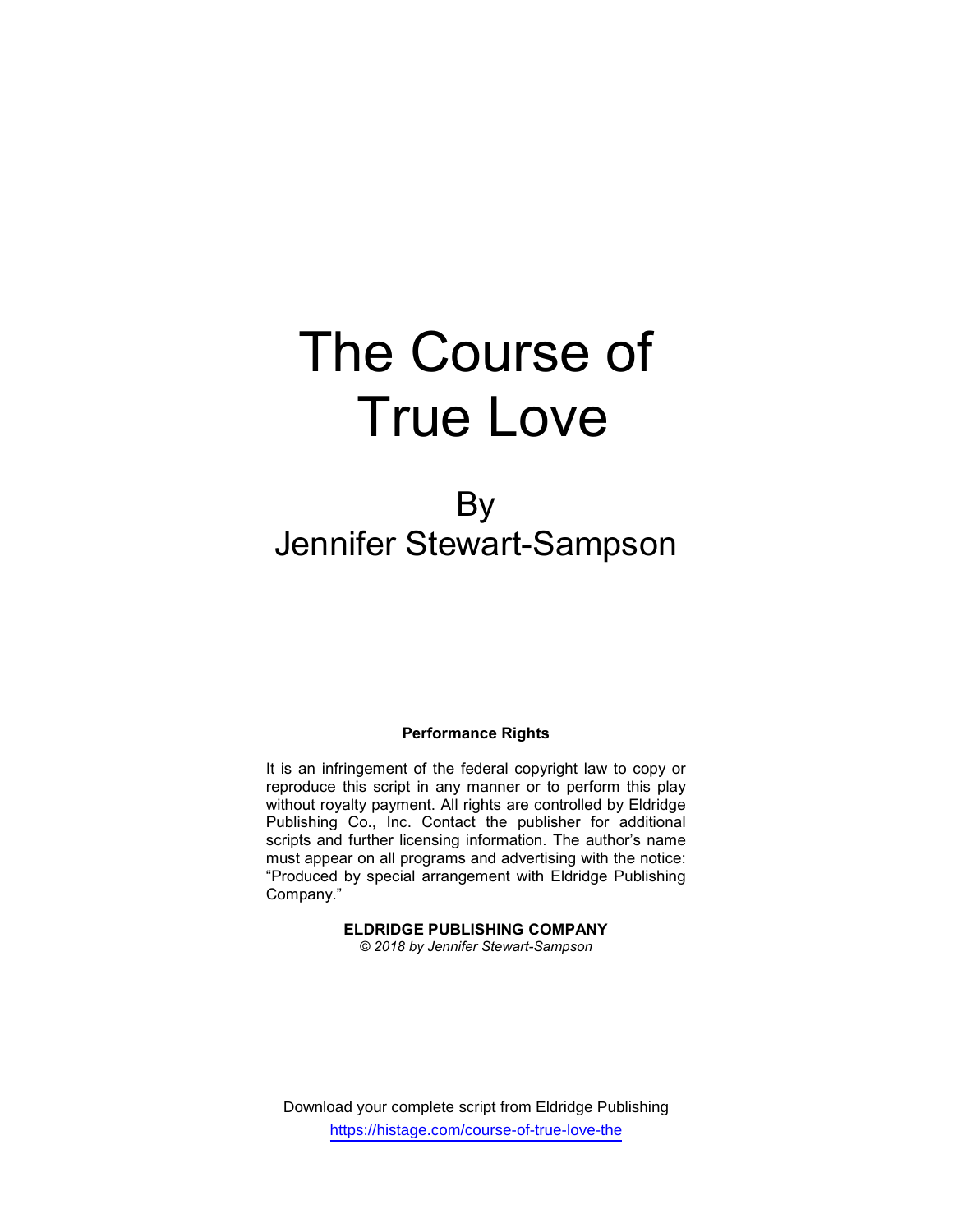# The Course of True Love

# By Jennifer Stewart-Sampson

# Performance Rights

It is an infringement of the federal copyright law to copy or reproduce this script in any manner or to perform this play without royalty payment. All rights are controlled by Eldridge Publishing Co., Inc. Contact the publisher for additional scripts and further licensing information. The author's name must appear on all programs and advertising with the notice: "Produced by special arrangement with Eldridge Publishing Company."

# ELDRIDGE PUBLISHING COMPANY

© 2018 by Jennifer Stewart-Sampson

Download your complete script from Eldridge Publishing https://histage.com/course-of-true-love-the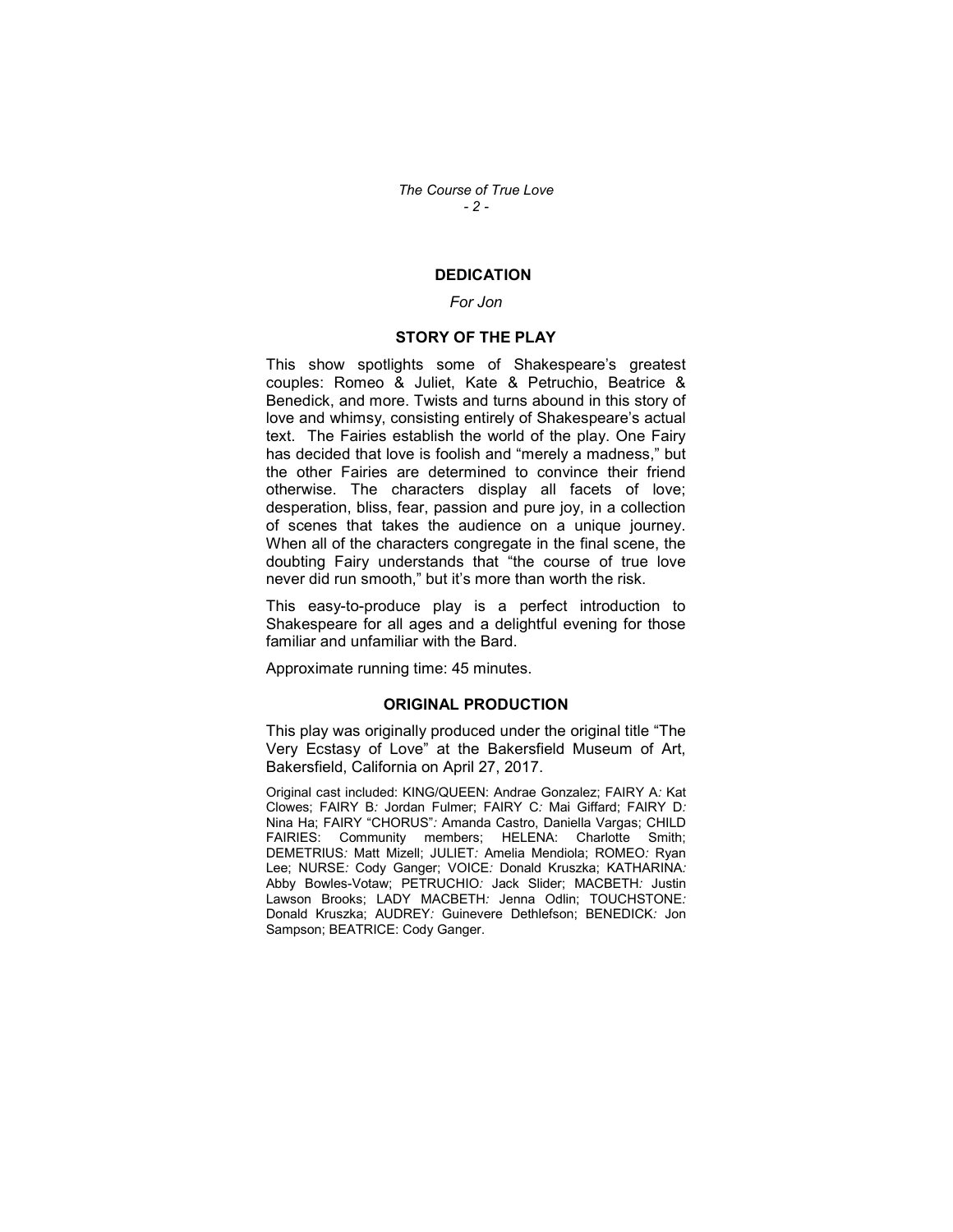# **DEDICATION**

### For Jon

# STORY OF THE PLAY

This show spotlights some of Shakespeare's greatest couples: Romeo & Juliet, Kate & Petruchio, Beatrice & Benedick, and more. Twists and turns abound in this story of love and whimsy, consisting entirely of Shakespeare's actual text. The Fairies establish the world of the play. One Fairy has decided that love is foolish and "merely a madness," but the other Fairies are determined to convince their friend otherwise. The characters display all facets of love; desperation, bliss, fear, passion and pure joy, in a collection of scenes that takes the audience on a unique journey. When all of the characters congregate in the final scene, the doubting Fairy understands that "the course of true love never did run smooth," but it's more than worth the risk.

This easy-to-produce play is a perfect introduction to Shakespeare for all ages and a delightful evening for those familiar and unfamiliar with the Bard.

Approximate running time: 45 minutes.

### ORIGINAL PRODUCTION

This play was originally produced under the original title "The Very Ecstasy of Love" at the Bakersfield Museum of Art, Bakersfield, California on April 27, 2017.

Original cast included: KING/QUEEN: Andrae Gonzalez; FAIRY A: Kat Clowes; FAIRY B: Jordan Fulmer; FAIRY C: Mai Giffard; FAIRY D: Nina Ha; FAIRY "CHORUS": Amanda Castro, Daniella Vargas; CHILD FAIRIES: Community members; HELENA: Charlotte Smith; DEMETRIUS: Matt Mizell; JULIET: Amelia Mendiola; ROMEO: Ryan Lee; NURSE: Cody Ganger; VOICE: Donald Kruszka; KATHARINA: Abby Bowles-Votaw; PETRUCHIO: Jack Slider; MACBETH: Justin Lawson Brooks; LADY MACBETH: Jenna Odlin; TOUCHSTONE: Donald Kruszka; AUDREY: Guinevere Dethlefson; BENEDICK: Jon Sampson; BEATRICE: Cody Ganger.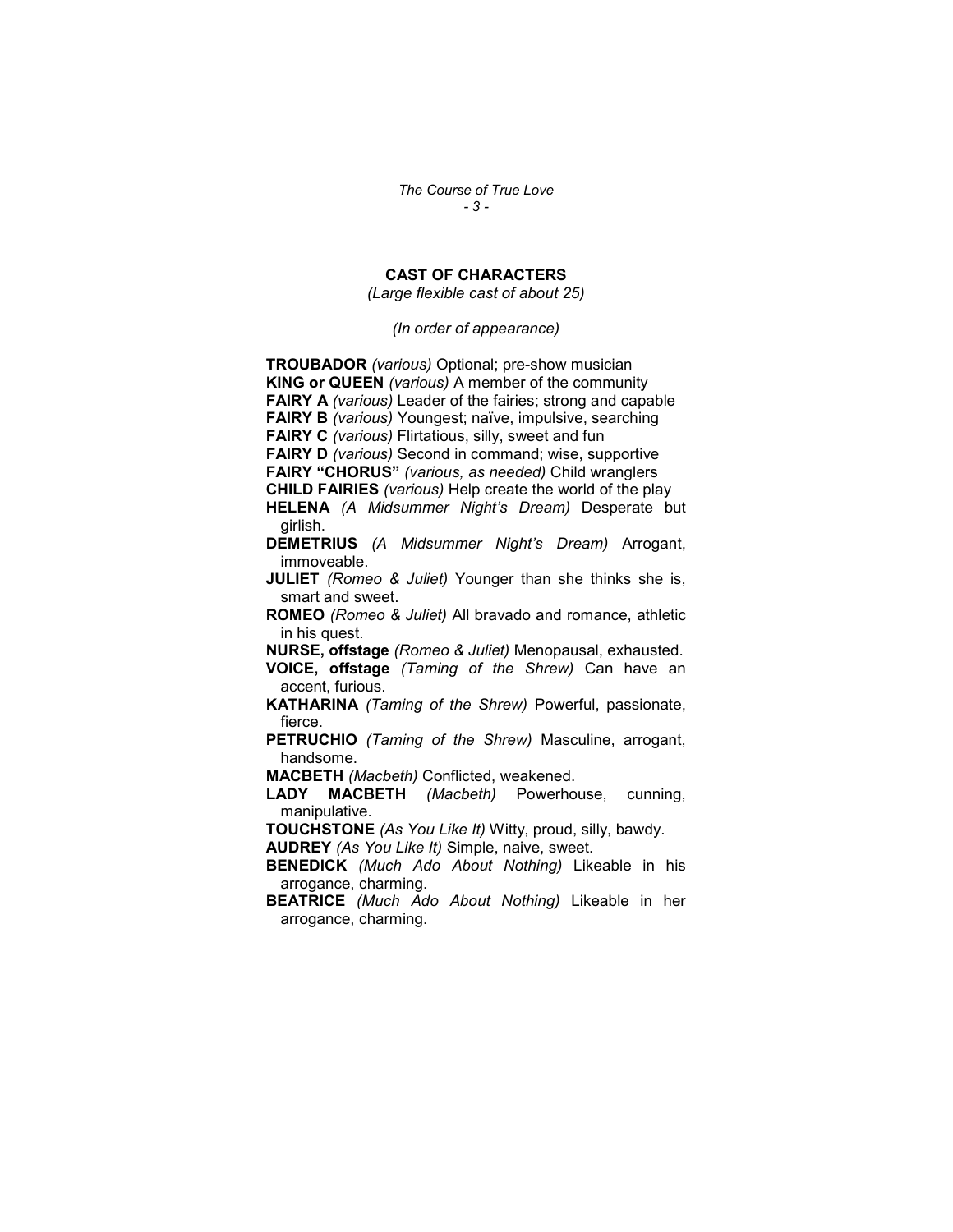The Course of True Love - 3 -

# CAST OF CHARACTERS

(Large flexible cast of about 25)

(In order of appearance)

TROUBADOR (various) Optional; pre-show musician KING or QUEEN (various) A member of the community FAIRY A (various) Leader of the fairies; strong and capable FAIRY B (various) Youngest; naïve, impulsive, searching FAIRY C (various) Flirtatious, silly, sweet and fun FAIRY D (various) Second in command; wise, supportive FAIRY "CHORUS" (various, as needed) Child wranglers CHILD FAIRIES (various) Help create the world of the play HELENA (A Midsummer Night's Dream) Desperate but girlish. DEMETRIUS (A Midsummer Night's Dream) Arrogant, immoveable. **JULIET** (Romeo & Juliet) Younger than she thinks she is, smart and sweet. ROMEO (Romeo & Juliet) All bravado and romance, athletic in his quest. NURSE, offstage (Romeo & Juliet) Menopausal, exhausted. VOICE, offstage (Taming of the Shrew) Can have an accent, furious. KATHARINA (Taming of the Shrew) Powerful, passionate, fierce. PETRUCHIO (Taming of the Shrew) Masculine, arrogant, handsome. MACBETH (Macbeth) Conflicted, weakened. LADY MACBETH (Macbeth) Powerhouse, cunning, manipulative. TOUCHSTONE (As You Like It) Witty, proud, silly, bawdy. AUDREY (As You Like It) Simple, naive, sweet. BENEDICK (Much Ado About Nothing) Likeable in his arrogance, charming. **BEATRICE** (Much Ado About Nothing) Likeable in her arrogance, charming.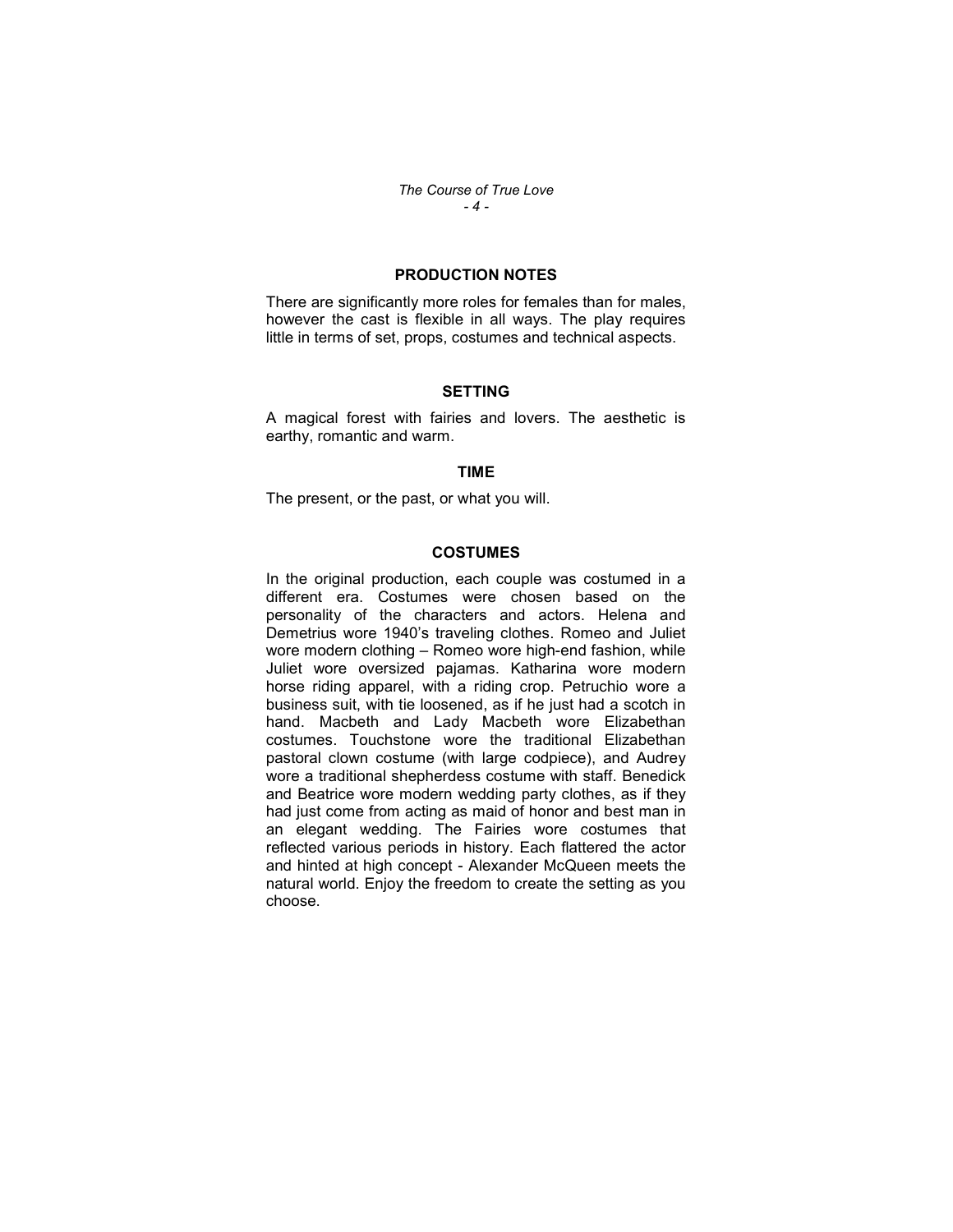The Course of True Love - 4 -

# PRODUCTION NOTES

There are significantly more roles for females than for males, however the cast is flexible in all ways. The play requires little in terms of set, props, costumes and technical aspects.

#### SETTING

A magical forest with fairies and lovers. The aesthetic is earthy, romantic and warm.

# TIME

The present, or the past, or what you will.

### COSTUMES

In the original production, each couple was costumed in a different era. Costumes were chosen based on the personality of the characters and actors. Helena and Demetrius wore 1940's traveling clothes. Romeo and Juliet wore modern clothing – Romeo wore high-end fashion, while Juliet wore oversized pajamas. Katharina wore modern horse riding apparel, with a riding crop. Petruchio wore a business suit, with tie loosened, as if he just had a scotch in hand. Macbeth and Lady Macbeth wore Elizabethan costumes. Touchstone wore the traditional Elizabethan pastoral clown costume (with large codpiece), and Audrey wore a traditional shepherdess costume with staff. Benedick and Beatrice wore modern wedding party clothes, as if they had just come from acting as maid of honor and best man in an elegant wedding. The Fairies wore costumes that reflected various periods in history. Each flattered the actor and hinted at high concept - Alexander McQueen meets the natural world. Enjoy the freedom to create the setting as you choose.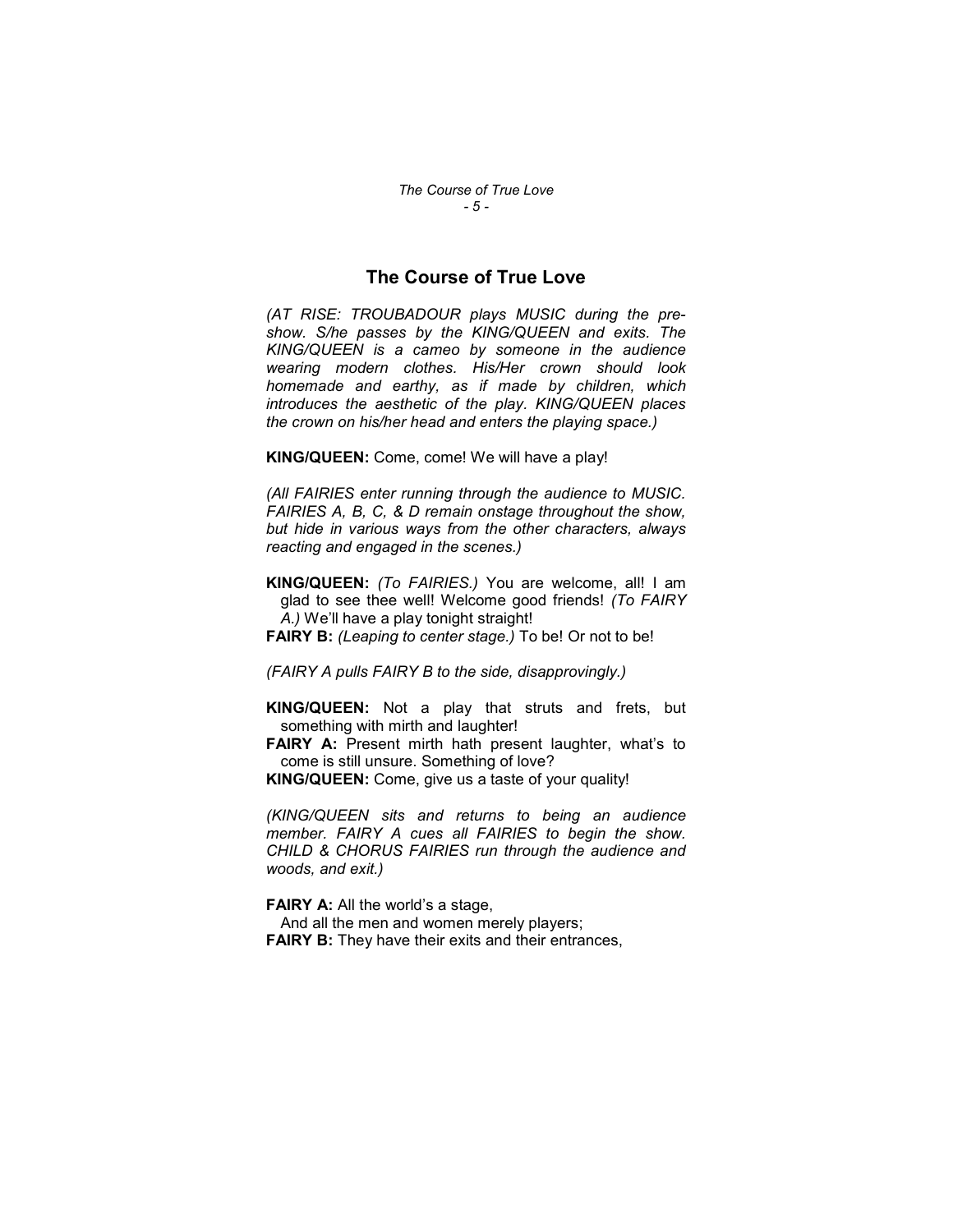# The Course of True Love

(AT RISE: TROUBADOUR plays MUSIC during the preshow. S/he passes by the KING/QUEEN and exits. The KING/QUEEN is a cameo by someone in the audience wearing modern clothes. His/Her crown should look homemade and earthy, as if made by children, which introduces the aesthetic of the play. KING/QUEEN places the crown on his/her head and enters the playing space.)

KING/QUEEN: Come, come! We will have a play!

(All FAIRIES enter running through the audience to MUSIC. FAIRIES A, B, C, & D remain onstage throughout the show, but hide in various ways from the other characters, always reacting and engaged in the scenes.)

KING/QUEEN: (To FAIRIES.) You are welcome, all! I am glad to see thee well! Welcome good friends! (To FAIRY A.) We'll have a play tonight straight!

**FAIRY B:** (Leaping to center stage.) To be! Or not to be!

(FAIRY A pulls FAIRY B to the side, disapprovingly.)

KING/QUEEN: Not a play that struts and frets, but something with mirth and laughter!

FAIRY A: Present mirth hath present laughter, what's to come is still unsure. Something of love?

KING/QUEEN: Come, give us a taste of your quality!

(KING/QUEEN sits and returns to being an audience member. FAIRY A cues all FAIRIES to begin the show. CHILD & CHORUS FAIRIES run through the audience and woods, and exit.)

FAIRY A: All the world's a stage,

And all the men and women merely players;

**FAIRY B:** They have their exits and their entrances,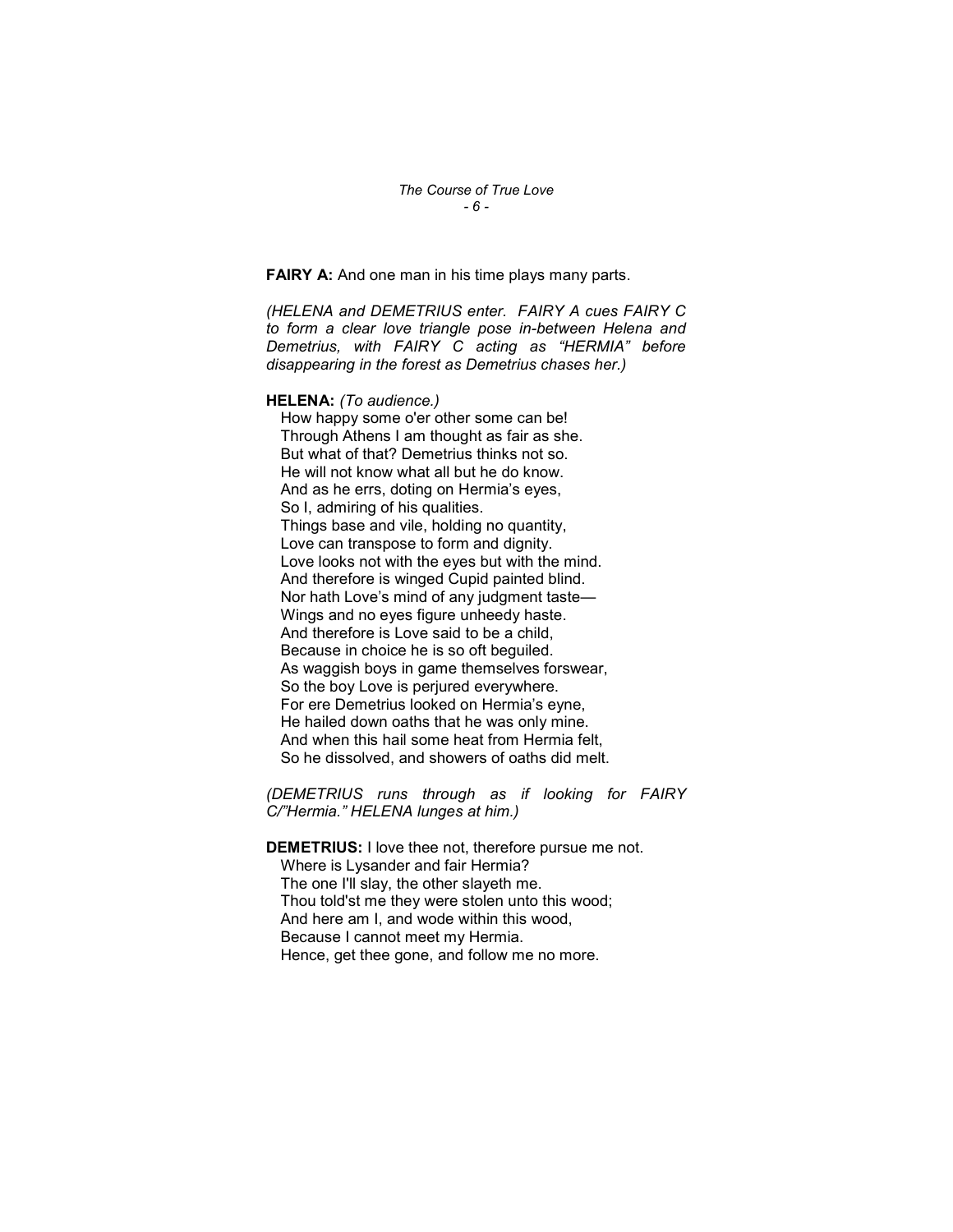FAIRY A: And one man in his time plays many parts.

(HELENA and DEMETRIUS enter. FAIRY A cues FAIRY C to form a clear love triangle pose in-between Helena and Demetrius, with FAIRY C acting as "HERMIA" before disappearing in the forest as Demetrius chases her.)

# HELENA: (To audience.)

How happy some o'er other some can be! Through Athens I am thought as fair as she. But what of that? Demetrius thinks not so. He will not know what all but he do know. And as he errs, doting on Hermia's eyes, So I, admiring of his qualities. Things base and vile, holding no quantity, Love can transpose to form and dignity. Love looks not with the eyes but with the mind. And therefore is winged Cupid painted blind. Nor hath Love's mind of any judgment taste— Wings and no eyes figure unheedy haste. And therefore is Love said to be a child, Because in choice he is so oft beguiled. As waggish boys in game themselves forswear, So the boy Love is perjured everywhere. For ere Demetrius looked on Hermia's eyne, He hailed down oaths that he was only mine. And when this hail some heat from Hermia felt, So he dissolved, and showers of oaths did melt.

(DEMETRIUS runs through as if looking for FAIRY C/"Hermia." HELENA lunges at him.)

DEMETRIUS: I love thee not, therefore pursue me not. Where is Lysander and fair Hermia? The one I'll slay, the other slayeth me. Thou told'st me they were stolen unto this wood; And here am I, and wode within this wood, Because I cannot meet my Hermia. Hence, get thee gone, and follow me no more.